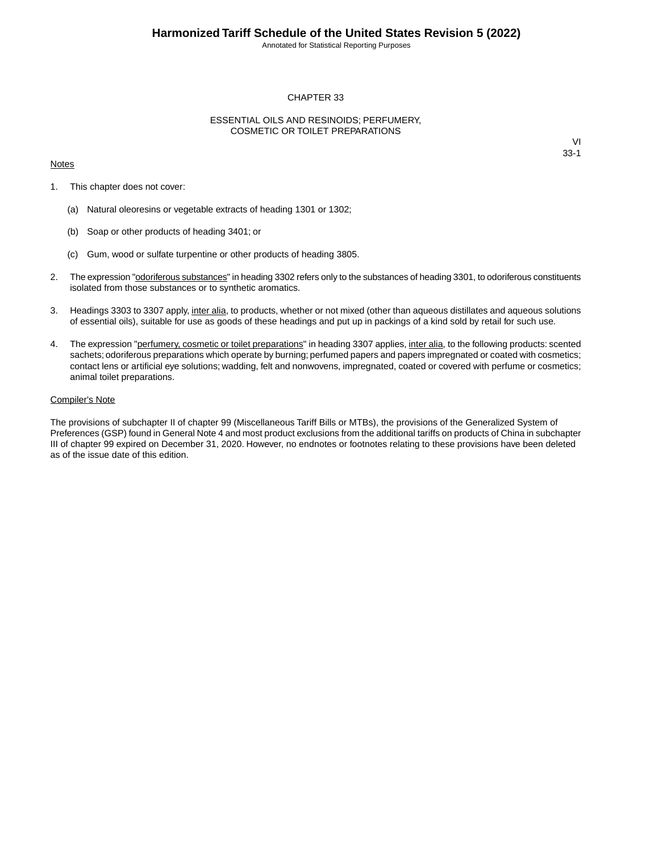Annotated for Statistical Reporting Purposes

### CHAPTER 33

### ESSENTIAL OILS AND RESINOIDS; PERFUMERY, COSMETIC OR TOILET PREPARATIONS

#### **Notes**

VI 33-1

- 1. This chapter does not cover:
	- (a) Natural oleoresins or vegetable extracts of heading 1301 or 1302;
	- (b) Soap or other products of heading 3401; or
	- (c) Gum, wood or sulfate turpentine or other products of heading 3805.
- 2. The expression "odoriferous substances" in heading 3302 refers only to the substances of heading 3301, to odoriferous constituents isolated from those substances or to synthetic aromatics.
- 3. Headings 3303 to 3307 apply, inter alia, to products, whether or not mixed (other than aqueous distillates and aqueous solutions of essential oils), suitable for use as goods of these headings and put up in packings of a kind sold by retail for such use.
- 4. The expression "perfumery, cosmetic or toilet preparations" in heading 3307 applies, inter alia, to the following products: scented sachets; odoriferous preparations which operate by burning; perfumed papers and papers impregnated or coated with cosmetics; contact lens or artificial eye solutions; wadding, felt and nonwovens, impregnated, coated or covered with perfume or cosmetics; animal toilet preparations.

#### Compiler's Note

The provisions of subchapter II of chapter 99 (Miscellaneous Tariff Bills or MTBs), the provisions of the Generalized System of Preferences (GSP) found in General Note 4 and most product exclusions from the additional tariffs on products of China in subchapter III of chapter 99 expired on December 31, 2020. However, no endnotes or footnotes relating to these provisions have been deleted as of the issue date of this edition.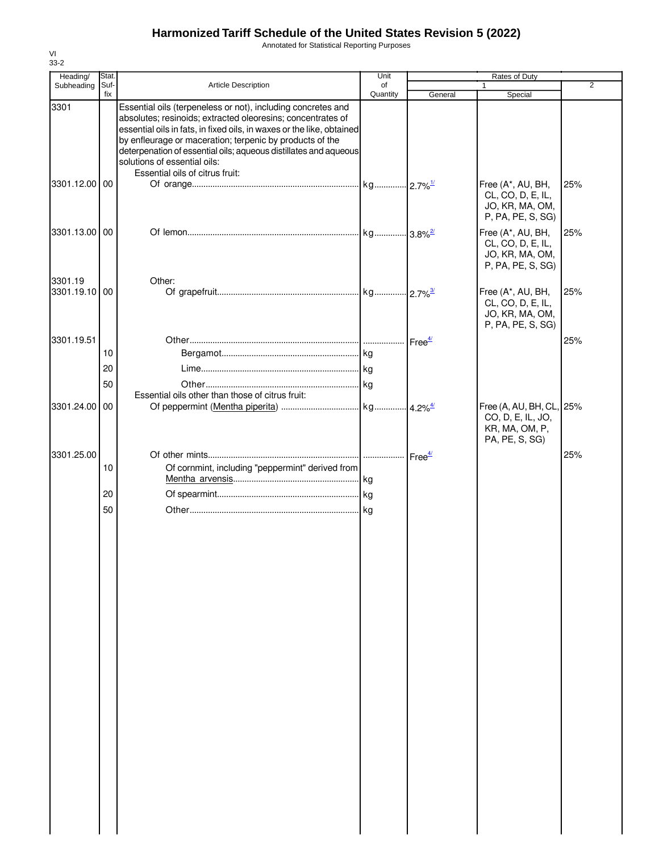Annotated for Statistical Reporting Purposes

| Stat.          |                                                                                                                                                                                                                         | Unit                            |                                                                                                                                                                                                           |                                                                                   |                              |
|----------------|-------------------------------------------------------------------------------------------------------------------------------------------------------------------------------------------------------------------------|---------------------------------|-----------------------------------------------------------------------------------------------------------------------------------------------------------------------------------------------------------|-----------------------------------------------------------------------------------|------------------------------|
| Suf-           | <b>Article Description</b>                                                                                                                                                                                              | of                              |                                                                                                                                                                                                           |                                                                                   | $\overline{2}$               |
|                | Essential oils (terpeneless or not), including concretes and<br>absolutes; resinoids; extracted oleoresins; concentrates of<br>by enfleurage or maceration; terpenic by products of the<br>solutions of essential oils: |                                 |                                                                                                                                                                                                           |                                                                                   |                              |
|                |                                                                                                                                                                                                                         |                                 |                                                                                                                                                                                                           | Free (A*, AU, BH,<br>CL, CO, D, E, IL,<br>JO, KR, MA, OM,                         | 25%                          |
|                |                                                                                                                                                                                                                         |                                 |                                                                                                                                                                                                           | Free (A*, AU, BH,<br>CL, CO, D, E, IL,<br>JO, KR, MA, OM,<br>P, PA, PE, S, SG)    | 25%                          |
|                | Other:                                                                                                                                                                                                                  |                                 |                                                                                                                                                                                                           | Free (A*, AU, BH,<br>CL, CO, D, E, IL,<br>JO, KR, MA, OM,<br>P, PA, PE, S, SG)    | 25%                          |
| 10<br>20<br>50 |                                                                                                                                                                                                                         |                                 |                                                                                                                                                                                                           |                                                                                   | 25%                          |
| 00             | Essential oils other than those of citrus fruit:                                                                                                                                                                        |                                 |                                                                                                                                                                                                           | Free (A, AU, BH, CL, 25%<br>CO, D, E, IL, JO,<br>KR, MA, OM, P,<br>PA, PE, S, SG) |                              |
| 10             |                                                                                                                                                                                                                         |                                 | Free <sup>4/</sup>                                                                                                                                                                                        |                                                                                   | 25%                          |
| 20<br>50       |                                                                                                                                                                                                                         |                                 |                                                                                                                                                                                                           |                                                                                   |                              |
| 3301.25.00     | fix<br>3301.12.00 00<br>3301.13.00 00<br>3301.19.10 00<br>3301.24.00                                                                                                                                                    | Essential oils of citrus fruit: | Quantity<br>essential oils in fats, in fixed oils, in waxes or the like, obtained<br>deterpenation of essential oils; aqueous distillates and aqueous<br>Of cornmint, including "peppermint" derived from | General                                                                           | Special<br>P, PA, PE, S, SG) |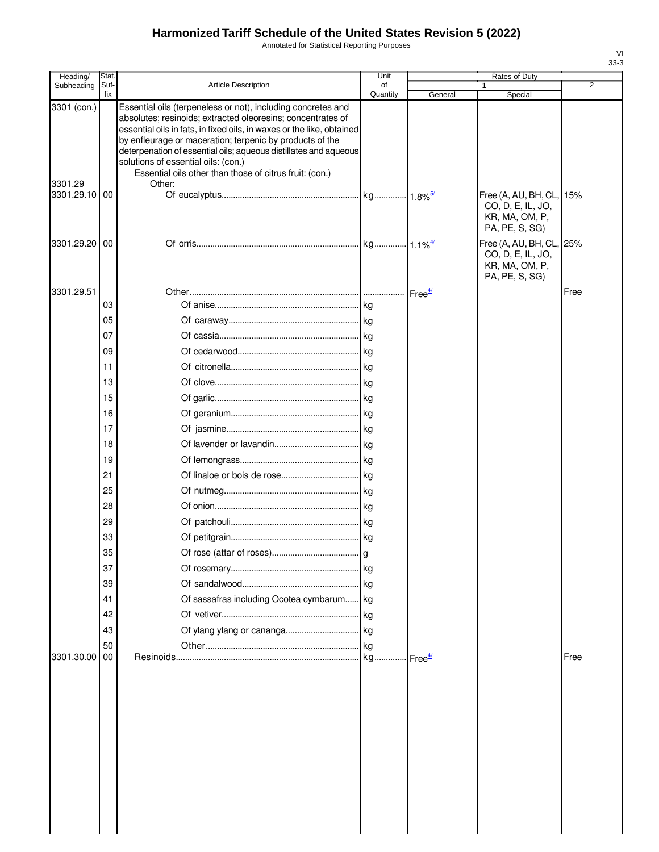Annotated for Statistical Reporting Purposes

| Heading/                                | Stat.       |                                                                                                                                                                                                                                                                                                                                                                                                                                                  | Unit           |         | Rates of Duty                                                                     |                |
|-----------------------------------------|-------------|--------------------------------------------------------------------------------------------------------------------------------------------------------------------------------------------------------------------------------------------------------------------------------------------------------------------------------------------------------------------------------------------------------------------------------------------------|----------------|---------|-----------------------------------------------------------------------------------|----------------|
| Subheading                              | Suf-<br>fix | <b>Article Description</b>                                                                                                                                                                                                                                                                                                                                                                                                                       | of<br>Quantity | General | Special                                                                           | $\overline{2}$ |
| 3301 (con.)<br>3301.29<br>3301.29.10 00 |             | Essential oils (terpeneless or not), including concretes and<br>absolutes; resinoids; extracted oleoresins; concentrates of<br>essential oils in fats, in fixed oils, in waxes or the like, obtained<br>by enfleurage or maceration; terpenic by products of the<br>deterpenation of essential oils; aqueous distillates and aqueous<br>solutions of essential oils: (con.)<br>Essential oils other than those of citrus fruit: (con.)<br>Other: |                |         | Free (A, AU, BH, CL, 15%<br>CO, D, E, IL, JO,<br>KR, MA, OM, P,<br>PA, PE, S, SG) |                |
| 3301.29.20 00                           |             |                                                                                                                                                                                                                                                                                                                                                                                                                                                  |                |         | Free (A, AU, BH, CL, 25%<br>CO, D, E, IL, JO,<br>KR, MA, OM, P,<br>PA, PE, S, SG) |                |
| 3301.29.51                              |             |                                                                                                                                                                                                                                                                                                                                                                                                                                                  |                |         |                                                                                   | Free           |
|                                         | 03          |                                                                                                                                                                                                                                                                                                                                                                                                                                                  |                |         |                                                                                   |                |
|                                         | 05          |                                                                                                                                                                                                                                                                                                                                                                                                                                                  |                |         |                                                                                   |                |
|                                         | 07          |                                                                                                                                                                                                                                                                                                                                                                                                                                                  |                |         |                                                                                   |                |
|                                         | 09          |                                                                                                                                                                                                                                                                                                                                                                                                                                                  |                |         |                                                                                   |                |
|                                         | 11          |                                                                                                                                                                                                                                                                                                                                                                                                                                                  |                |         |                                                                                   |                |
|                                         | 13          |                                                                                                                                                                                                                                                                                                                                                                                                                                                  |                |         |                                                                                   |                |
|                                         | 15          |                                                                                                                                                                                                                                                                                                                                                                                                                                                  |                |         |                                                                                   |                |
|                                         | 16          |                                                                                                                                                                                                                                                                                                                                                                                                                                                  |                |         |                                                                                   |                |
|                                         | 17          |                                                                                                                                                                                                                                                                                                                                                                                                                                                  |                |         |                                                                                   |                |
|                                         | 18          |                                                                                                                                                                                                                                                                                                                                                                                                                                                  |                |         |                                                                                   |                |
|                                         | 19          |                                                                                                                                                                                                                                                                                                                                                                                                                                                  |                |         |                                                                                   |                |
|                                         | 21          |                                                                                                                                                                                                                                                                                                                                                                                                                                                  |                |         |                                                                                   |                |
|                                         | 25          |                                                                                                                                                                                                                                                                                                                                                                                                                                                  |                |         |                                                                                   |                |
|                                         | 28          |                                                                                                                                                                                                                                                                                                                                                                                                                                                  |                |         |                                                                                   |                |
|                                         | 29          |                                                                                                                                                                                                                                                                                                                                                                                                                                                  |                |         |                                                                                   |                |
|                                         | 33          |                                                                                                                                                                                                                                                                                                                                                                                                                                                  |                |         |                                                                                   |                |
|                                         | 35          |                                                                                                                                                                                                                                                                                                                                                                                                                                                  |                |         |                                                                                   |                |
|                                         | 37          |                                                                                                                                                                                                                                                                                                                                                                                                                                                  |                |         |                                                                                   |                |
|                                         | 39          |                                                                                                                                                                                                                                                                                                                                                                                                                                                  |                |         |                                                                                   |                |
|                                         | 41          | Of sassafras including Ocotea cymbarum kg                                                                                                                                                                                                                                                                                                                                                                                                        |                |         |                                                                                   |                |
|                                         | 42          |                                                                                                                                                                                                                                                                                                                                                                                                                                                  |                |         |                                                                                   |                |
|                                         | 43          |                                                                                                                                                                                                                                                                                                                                                                                                                                                  |                |         |                                                                                   |                |
| 3301.30.00                              | 50<br>00    |                                                                                                                                                                                                                                                                                                                                                                                                                                                  |                |         |                                                                                   | Free           |
|                                         |             |                                                                                                                                                                                                                                                                                                                                                                                                                                                  |                |         |                                                                                   |                |
|                                         |             |                                                                                                                                                                                                                                                                                                                                                                                                                                                  |                |         |                                                                                   |                |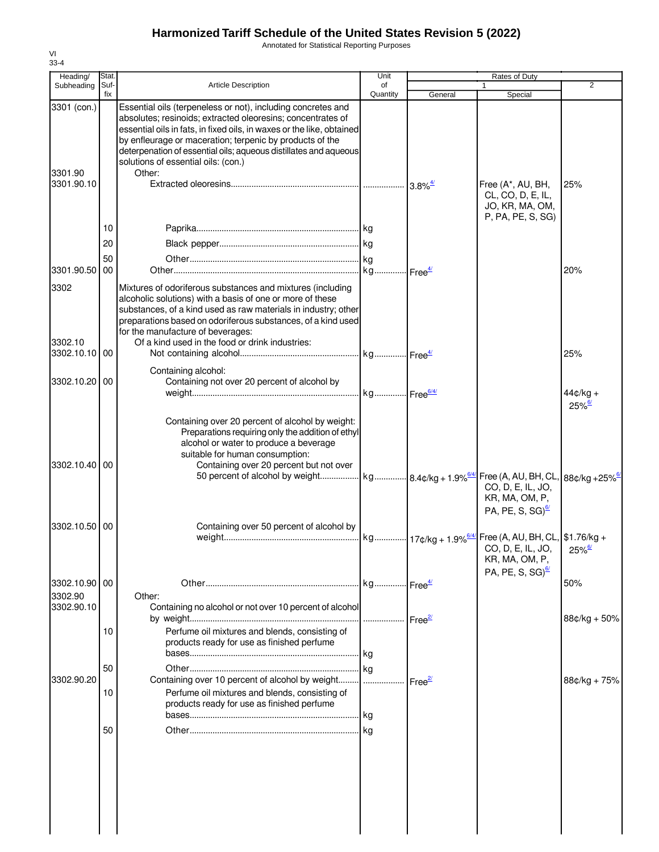Annotated for Statistical Reporting Purposes

| Heading/                         | Stat.       |                                                                                                                                                                                                                                                                                                                                                                                       | Unit               |                                    |                                                                                          |                                    |
|----------------------------------|-------------|---------------------------------------------------------------------------------------------------------------------------------------------------------------------------------------------------------------------------------------------------------------------------------------------------------------------------------------------------------------------------------------|--------------------|------------------------------------|------------------------------------------------------------------------------------------|------------------------------------|
| Subheading                       | Suf-<br>fix | Article Description                                                                                                                                                                                                                                                                                                                                                                   | of<br>Quantity     | General                            | Special                                                                                  | 2                                  |
| 3301 (con.)<br>3301.90           |             | Essential oils (terpeneless or not), including concretes and<br>absolutes; resinoids; extracted oleoresins; concentrates of<br>essential oils in fats, in fixed oils, in waxes or the like, obtained<br>by enfleurage or maceration; terpenic by products of the<br>deterpenation of essential oils; aqueous distillates and aqueous<br>solutions of essential oils: (con.)<br>Other: |                    |                                    |                                                                                          |                                    |
| 3301.90.10                       |             |                                                                                                                                                                                                                                                                                                                                                                                       |                    |                                    | Free (A*, AU, BH,<br>CL, CO, D, E, IL,<br>JO, KR, MA, OM,<br>P, PA, PE, S, SG)           | 25%                                |
|                                  | 10<br>20    |                                                                                                                                                                                                                                                                                                                                                                                       |                    |                                    |                                                                                          |                                    |
|                                  | 50          |                                                                                                                                                                                                                                                                                                                                                                                       |                    |                                    |                                                                                          |                                    |
| 3301.90.50                       | 00          |                                                                                                                                                                                                                                                                                                                                                                                       |                    |                                    |                                                                                          | 20%                                |
| 3302<br>3302.10<br>3302.10.10 00 |             | Mixtures of odoriferous substances and mixtures (including<br>alcoholic solutions) with a basis of one or more of these<br>substances, of a kind used as raw materials in industry; other<br>preparations based on odoriferous substances, of a kind used<br>for the manufacture of beverages:<br>Of a kind used in the food or drink industries:                                     |                    |                                    |                                                                                          |                                    |
|                                  |             |                                                                                                                                                                                                                                                                                                                                                                                       |                    |                                    |                                                                                          | 25%                                |
| 3302.10.20                       | 00          | Containing alcohol:<br>Containing not over 20 percent of alcohol by                                                                                                                                                                                                                                                                                                                   |                    |                                    |                                                                                          | $44¢/kg +$<br>$25\%$ <sup>6/</sup> |
| 3302.10.40 00                    |             | Containing over 20 percent of alcohol by weight:<br>Preparations requiring only the addition of ethyl<br>alcohol or water to produce a beverage<br>suitable for human consumption:<br>Containing over 20 percent but not over<br>50 percent of alcohol by weight kg 8.4¢/kg + 1.9% <sup>644</sup> Free (A, AU, BH, CL, 88¢/kg +25% <sup>64</sup>                                      |                    |                                    | CO, D, E, IL, JO,<br>KR, MA, OM, P,<br>PA, PE, S, SG) $\frac{67}{2}$                     |                                    |
| 3302.10.50 00                    |             | Containing over 50 percent of alcohol by                                                                                                                                                                                                                                                                                                                                              |                    |                                    |                                                                                          |                                    |
|                                  |             |                                                                                                                                                                                                                                                                                                                                                                                       |                    |                                    | CO, D, E, IL, JO, 25% $\frac{67}{25}$<br>KR, MA, OM, P,<br>PA, PE, S, SG) $\frac{67}{2}$ |                                    |
| 3302.10.90 00                    |             |                                                                                                                                                                                                                                                                                                                                                                                       |                    |                                    |                                                                                          | 50%                                |
| 3302.90<br>3302.90.10            |             | Other:<br>Containing no alcohol or not over 10 percent of alcohol                                                                                                                                                                                                                                                                                                                     | Free <sup>2/</sup> |                                    |                                                                                          | $88¢/kg + 50%$                     |
|                                  | 10          | Perfume oil mixtures and blends, consisting of<br>products ready for use as finished perfume                                                                                                                                                                                                                                                                                          | l kg               |                                    |                                                                                          |                                    |
|                                  | 50          |                                                                                                                                                                                                                                                                                                                                                                                       | kg                 |                                    |                                                                                          |                                    |
| 3302.90.20                       | 10          | Containing over 10 percent of alcohol by weight<br>Perfume oil mixtures and blends, consisting of<br>products ready for use as finished perfume                                                                                                                                                                                                                                       | .                  | $\mathsf{Free}^{\mathsf{2}\prime}$ |                                                                                          | $88¢/kg + 75%$                     |
|                                  |             |                                                                                                                                                                                                                                                                                                                                                                                       | l kg               |                                    |                                                                                          |                                    |
|                                  | 50          |                                                                                                                                                                                                                                                                                                                                                                                       |                    |                                    |                                                                                          |                                    |
|                                  |             |                                                                                                                                                                                                                                                                                                                                                                                       |                    |                                    |                                                                                          |                                    |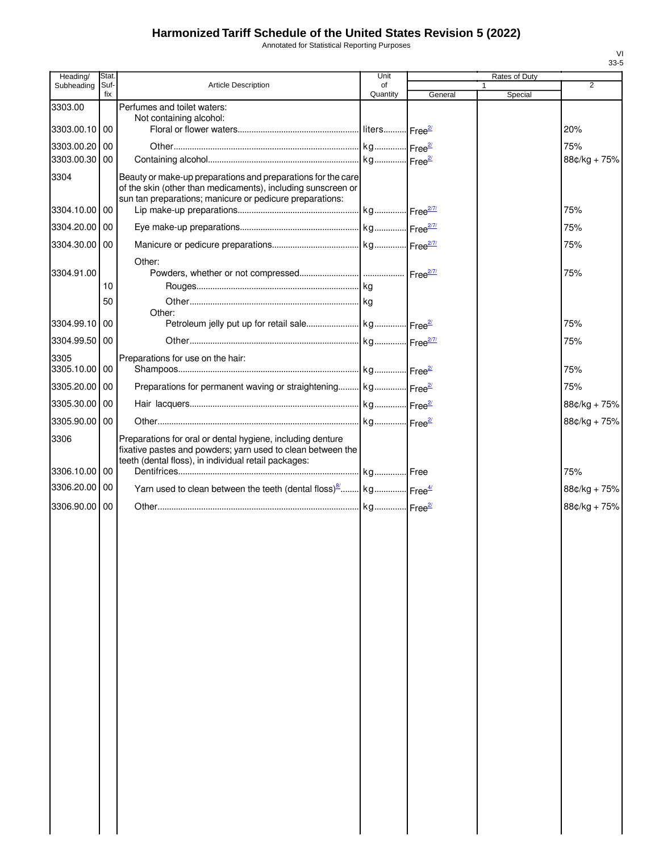Annotated for Statistical Reporting Purposes

| Heading/      | Stat.       |                                                                                        | Unit           |         | Rates of Duty |                |
|---------------|-------------|----------------------------------------------------------------------------------------|----------------|---------|---------------|----------------|
| Subheading    | Suf-<br>fix | <b>Article Description</b>                                                             | of<br>Quantity | General | Special       | $\overline{2}$ |
| 3303.00       |             | Perfumes and toilet waters:                                                            |                |         |               |                |
| 3303.00.10 00 |             | Not containing alcohol:                                                                |                |         |               | 20%            |
| 3303.00.20 00 |             |                                                                                        |                |         |               | 75%            |
| 3303.00.30 00 |             |                                                                                        |                |         |               | 88¢/kg + 75%   |
| 3304          |             | Beauty or make-up preparations and preparations for the care                           |                |         |               |                |
|               |             | of the skin (other than medicaments), including sunscreen or                           |                |         |               |                |
| 3304.10.00 00 |             | sun tan preparations; manicure or pedicure preparations:                               |                |         |               | 75%            |
| 3304.20.00 00 |             |                                                                                        |                |         |               | 75%            |
| 3304.30.00 00 |             |                                                                                        |                |         |               | 75%            |
|               |             | Other:                                                                                 |                |         |               |                |
| 3304.91.00    |             |                                                                                        |                |         |               | 75%            |
|               | 10          |                                                                                        |                |         |               |                |
|               | 50          |                                                                                        |                |         |               |                |
| 3304.99.10 00 |             | Other:                                                                                 |                |         |               | 75%            |
| 3304.99.50 00 |             |                                                                                        |                |         |               | 75%            |
| 3305          |             | Preparations for use on the hair:                                                      |                |         |               |                |
| 3305.10.00 00 |             |                                                                                        |                |         |               | 75%            |
| 3305.20.00 00 |             | Preparations for permanent waving or straightening kg Free <sup>27</sup>               |                |         |               | 75%            |
| 3305.30.00 00 |             |                                                                                        |                |         |               | 88¢/kg + 75%   |
| 3305.90.00 00 |             |                                                                                        |                |         |               | 88¢/kg + 75%   |
| 3306          |             | Preparations for oral or dental hygiene, including denture                             |                |         |               |                |
|               |             | fixative pastes and powders; yarn used to clean between the                            |                |         |               |                |
| 3306.10.00 00 |             | teeth (dental floss), in individual retail packages:                                   |                |         |               | 75%            |
| 3306.20.00 00 |             | Yarn used to clean between the teeth (dental floss) <sup>8</sup> kg Free <sup>4/</sup> |                |         |               | 88¢/kg + 75%   |
| 3306.90.00 00 |             |                                                                                        |                |         |               | 88¢/kg + 75%   |
|               |             |                                                                                        |                |         |               |                |
|               |             |                                                                                        |                |         |               |                |
|               |             |                                                                                        |                |         |               |                |
|               |             |                                                                                        |                |         |               |                |
|               |             |                                                                                        |                |         |               |                |
|               |             |                                                                                        |                |         |               |                |
|               |             |                                                                                        |                |         |               |                |
|               |             |                                                                                        |                |         |               |                |
|               |             |                                                                                        |                |         |               |                |
|               |             |                                                                                        |                |         |               |                |
|               |             |                                                                                        |                |         |               |                |
|               |             |                                                                                        |                |         |               |                |
|               |             |                                                                                        |                |         |               |                |
|               |             |                                                                                        |                |         |               |                |
|               |             |                                                                                        |                |         |               |                |
|               |             |                                                                                        |                |         |               |                |
|               |             |                                                                                        |                |         |               |                |
|               |             |                                                                                        |                |         |               |                |
|               |             |                                                                                        |                |         |               |                |
|               |             |                                                                                        |                |         |               |                |
|               |             |                                                                                        |                |         |               |                |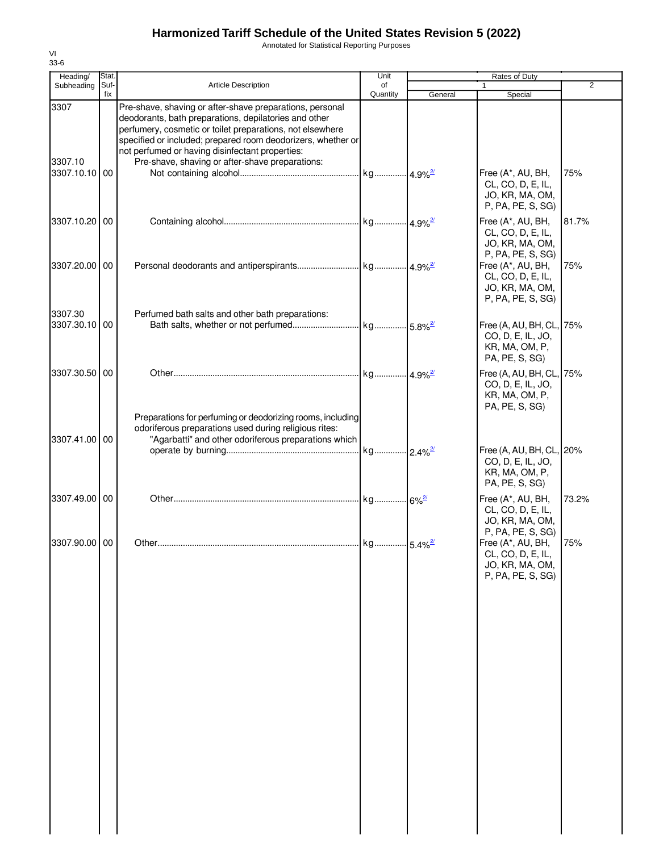Annotated for Statistical Reporting Purposes

| Heading/                 | Stat.       |                                                                                                                                                                                                                                                                                                                                                      | Unit           |         | Rates of Duty                                                                     |                |  |
|--------------------------|-------------|------------------------------------------------------------------------------------------------------------------------------------------------------------------------------------------------------------------------------------------------------------------------------------------------------------------------------------------------------|----------------|---------|-----------------------------------------------------------------------------------|----------------|--|
| Subheading               | Suf-<br>fix | Article Description                                                                                                                                                                                                                                                                                                                                  | of<br>Quantity | General | 1<br>Special                                                                      | $\overline{2}$ |  |
| 3307<br>3307.10          |             | Pre-shave, shaving or after-shave preparations, personal<br>deodorants, bath preparations, depilatories and other<br>perfumery, cosmetic or toilet preparations, not elsewhere<br>specified or included; prepared room deodorizers, whether or<br>not perfumed or having disinfectant properties:<br>Pre-shave, shaving or after-shave preparations: |                |         |                                                                                   |                |  |
| 3307.10.10 00            |             |                                                                                                                                                                                                                                                                                                                                                      |                |         | Free (A*, AU, BH,<br>CL, CO, D, E, IL,<br>JO, KR, MA, OM,<br>P, PA, PE, S, SG)    | 75%            |  |
| 3307.10.20 00            |             |                                                                                                                                                                                                                                                                                                                                                      |                |         | Free (A*, AU, BH,<br>CL, CO, D, E, IL,<br>JO, KR, MA, OM,<br>P, PA, PE, S, SG)    | 81.7%          |  |
| 3307.20.00 00            |             |                                                                                                                                                                                                                                                                                                                                                      |                |         | Free (A*, AU, BH,<br>CL, CO, D, E, IL,<br>JO, KR, MA, OM,<br>P, PA, PE, S, SG)    | 75%            |  |
| 3307.30<br>3307.30.10 00 |             | Perfumed bath salts and other bath preparations:                                                                                                                                                                                                                                                                                                     |                |         | Free (A, AU, BH, CL, 75%<br>CO, D, E, IL, JO,<br>KR, MA, OM, P,<br>PA, PE, S, SG) |                |  |
| 3307.30.50 00            |             | Preparations for perfuming or deodorizing rooms, including                                                                                                                                                                                                                                                                                           |                |         | Free (A, AU, BH, CL, 75%<br>CO, D, E, IL, JO,<br>KR, MA, OM, P,<br>PA, PE, S, SG) |                |  |
| 3307.41.00 00            |             | odoriferous preparations used during religious rites:<br>"Agarbatti" and other odoriferous preparations which                                                                                                                                                                                                                                        |                |         | Free (A, AU, BH, CL, 20%<br>CO, D, E, IL, JO,<br>KR, MA, OM, P,<br>PA, PE, S, SG) |                |  |
| 3307.49.00 00            |             |                                                                                                                                                                                                                                                                                                                                                      |                |         | Free (A*, AU, BH,<br>CL, CO, D, E, IL,<br>JO, KR, MA, OM,<br>P, PA, PE, S, SG)    | 73.2%          |  |
| 3307.90.00 00            |             |                                                                                                                                                                                                                                                                                                                                                      |                |         | Free (A*, AU, BH,<br>CL, CO, D, E, IL,<br>JO, KR, MA, OM,<br>P, PA, PE, S, SG)    | 75%            |  |
|                          |             |                                                                                                                                                                                                                                                                                                                                                      |                |         |                                                                                   |                |  |
|                          |             |                                                                                                                                                                                                                                                                                                                                                      |                |         |                                                                                   |                |  |
|                          |             |                                                                                                                                                                                                                                                                                                                                                      |                |         |                                                                                   |                |  |